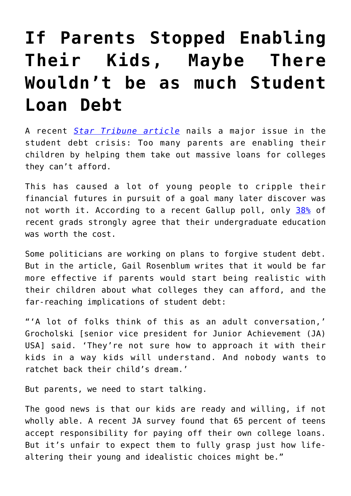## **[If Parents Stopped Enabling](https://intellectualtakeout.org/2016/03/if-parents-stopped-enabling-their-kids-maybe-there-wouldnt-be-as-much-student-loan-debt/) [Their Kids, Maybe There](https://intellectualtakeout.org/2016/03/if-parents-stopped-enabling-their-kids-maybe-there-wouldnt-be-as-much-student-loan-debt/) [Wouldn't be as much Student](https://intellectualtakeout.org/2016/03/if-parents-stopped-enabling-their-kids-maybe-there-wouldnt-be-as-much-student-loan-debt/) [Loan Debt](https://intellectualtakeout.org/2016/03/if-parents-stopped-enabling-their-kids-maybe-there-wouldnt-be-as-much-student-loan-debt/)**

A recent *[Star Tribune article](http://m.startribune.com/rosenblum-helping-teens-not-regret-student-debt/373236451/)* nails a major issue in the student debt crisis: Too many parents are enabling their children by helping them take out massive loans for colleges they can't afford.

This has caused a lot of young people to cripple their financial futures in pursuit of a goal many later discover was not worth it. According to a recent Gallup poll, only [38%](http://www.gallup.com/poll/185819/recent-grads-less-likely-agree-college-worth-cost.aspx?g_source=student%20loan%20debt&g_medium=search&g_campaign=tiles) of recent grads strongly agree that their undergraduate education was worth the cost.

Some politicians are working on plans to forgive student debt. But in the article, Gail Rosenblum writes that it would be far more effective if parents would start being realistic with their children about what colleges they can afford, and the far-reaching implications of student debt:

"'A lot of folks think of this as an adult conversation,' Grocholski [senior vice president for Junior Achievement (JA) USA] said. 'They're not sure how to approach it with their kids in a way kids will understand. And nobody wants to ratchet back their child's dream.'

But parents, we need to start talking.

The good news is that our kids are ready and willing, if not wholly able. A recent JA survey found that 65 percent of teens accept responsibility for paying off their own college loans. But it's unfair to expect them to fully grasp just how lifealtering their young and idealistic choices might be."